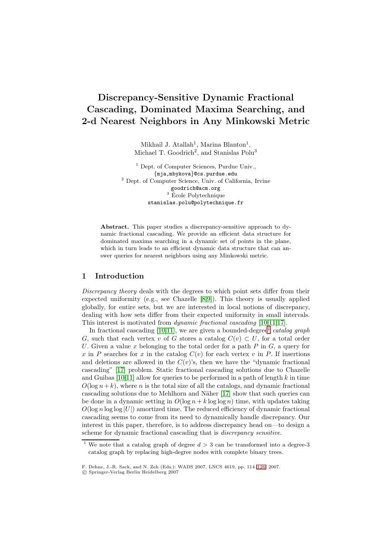# **Discrepancy-Sensitive Dynamic Fractional Cascading, Dominated Maxima Searching, and 2-d Nearest Neighbors in Any Minkowski Metric**

Mikhail J. Atallah<sup>1</sup>, Marina Blanton<sup>1</sup>, Michael T. Goodrich<sup>2</sup>, and Stanislas Polu<sup>3</sup>

<sup>1</sup> Dept. of Computer Sciences, Purdue Univ., {mja,mbykova}@cs.purdue.edu <sup>2</sup> Dept. of Computer Science, Univ. of California, Irvine goodrich@acm.org  $3$  Ecole Polytechnique stanislas.polu@polytechnique.fr

**Abstract.** This paper studies a discrepancy-sensitive approach to dynamic fractional cascading. We provide an efficient data structure for dominated maxima searching in a dynamic set of points in the plane, which in turn leads to an efficient dynamic data structure that can answer queries for nearest neighbors using any Minkowski metric.

## **1 Introduction**

Discrepancy theory deals with the degrees to which point sets differ from their expected uniformity (e.g., see Chazelle [\[8,](#page-11-0)[9\]](#page-11-1)). This theory is usually applied globally, for entire sets, but we are interested in local notions of discrepancy, dealing with how sets differ from their expected uniformity in small intervals. This interest is motivated from dynamic fractional cascading [\[10](#page-11-2)[,11](#page-11-3)[,17\]](#page-11-4).

In fractional cascading [\[10](#page-11-2)[,11\]](#page-11-3), we are given a bounded-degree<sup>[1](#page-0-0)</sup> catalog graph G, such that each vertex v of G stores a catalog  $C(v) \subset U$ , for a total order U. Given a value x belonging to the total order for a path  $P$  in  $G$ , a query for x in P searches for x in the catalog  $C(v)$  for each vertex v in P. If insertions and deletions are allowed in the  $C(v)$ 's, then we have the "dynamic fractional cascading" [\[17\]](#page-11-4) problem. Static fractional cascading solutions due to Chazelle and Guibas  $[10,11]$  $[10,11]$  allow for queries to be performed in a path of length k in time  $O(\log n+k)$ , where n is the total size of all the catalogs, and dynamic fractional cascading solutions due to Mehlhorn and Näher [\[17\]](#page-11-4) show that such queries can be done in a dynamic setting in  $O(\log n + k \log \log n)$  time, with updates taking  $O(\log n \log |U|)$  amortized time. The reduced efficiency of dynamic fractional cascading seems to come from its need to dynamically handle discrepancy. Our interest in this paper, therefore, is to address discrepancy head on—to design a scheme for dynamic fractional cascading that is discrepancy sensitive.

We note that a catalog graph of degree  $d > 3$  can be transformed into a degree-3 catalog graph by replacing high-degree nodes with complete binary trees.

<span id="page-0-0"></span>F. Dehne, J.-R. Sack, and N. Zeh (Eds.): WADS 2007, LNCS 4619, pp. 114[–126,](#page-11-5) 2007.

<sup>-</sup>c Springer-Verlag Berlin Heidelberg 2007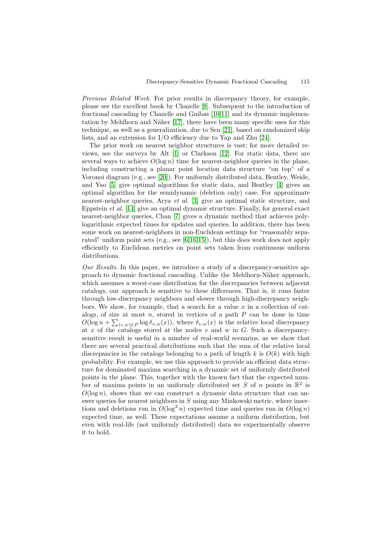Previous Related Work. For prior results in discrepancy theory, for example, please see the excellent book by Chazelle [\[9\]](#page-11-1). Subsequent to the introduction of fractional cascading by Chazelle and Guibas [\[10,](#page-11-2)[11\]](#page-11-3) and its dynamic implemen-tation by Mehlhorn and Näher [\[17\]](#page-11-4), there have been many specific uses for this technique, as well as a generalization, due to Sen [\[21\]](#page-12-0), based on randomized skip lists, and an extension for I/O efficiency due to Yap and Zhu [\[24\]](#page-12-1).

The prior work on nearest neighbor structures is vast; for more detailed reviews, see the surveys by Alt [\[1\]](#page-11-6) or Clarkson [\[12\]](#page-11-7). For static data, there are several ways to achieve  $O(\log n)$  time for nearest-neighbor queries in the plane, including constructing a planar point location data structure "on top" of a Voronoi diagram (e.g., see [\[20\]](#page-11-8)). For uniformly distributed data, Bentley, Weide, and Yao [\[5\]](#page-11-9) give optimal algorithms for static data, and Bentley [\[4\]](#page-11-10) gives an optimal algorithm for the semidynamic (deletion only) case. For approximate nearest-neighbor queries, Arya et al. [\[3\]](#page-11-11) give an optimal static structure, and Eppstein et al. [\[14\]](#page-11-12) give an optimal dynamic structure. Finally, for general exact nearest-neighbor queries, Chan [\[7\]](#page-11-13) gives a dynamic method that achieves polylogarithmic expected times for updates and queries. In addition, there has been some work on nearest-neighbors in non-Euclidean settings for "reasonably separated" uniform point sets (e.g., see [\[6](#page-11-14)[,16,](#page-11-15)[15\]](#page-11-16)), but this does work does not apply efficiently to Euclidean metrics on point sets taken from continuous uniform distributions.

Our Results. In this paper, we introduce a study of a discrepancy-sensitive approach to dynamic fractional cascading. Unlike the Mehlhorn-N¨aher approach, which assumes a worst-case distribution for the discrepancies between adjacent catalogs, our approach is sensitive to these differences. That is, it runs faster through low-discrepancy neighbors and slower through high-discrepancy neighbors. We show, for example, that a search for a value  $x$  in a collection of catalogs, of size at most  $n$ , stored in vertices of a path  $P$  can be done in time  $O(\log n + \sum_{(v,w)\in P} \log \delta_{v,w}(x))$ , where  $\delta_{v,w}(x)$  is the relative local discrepancy at x of the catalogs stored at the nodes  $v$  and  $w$  in  $G$ . Such a discrepancysensitive result is useful in a number of real-world scenarios, as we show that there are several practical distributions such that the sum of the relative local discrepancies in the catalogs belonging to a path of length k is  $O(k)$  with high probability. For example, we use this approach to provide an efficient data structure for dominated maxima searching in a dynamic set of uniformly distributed points in the plane. This, together with the known fact that the expected number of maxima points in an uniformly distributed set S of n points in  $\mathbb{R}^2$  is  $O(\log n)$ , shows that we can construct a dynamic data structure that can answer queries for nearest neighbors in  $S$  using any Minkowski metric, where insertions and deletions run in  $O(\log^2 n)$  expected time and queries run in  $O(\log n)$ expected time, as well. These expectations assume a uniform distribution, but even with real-life (not uniformly distributed) data we experimentally observe it to hold.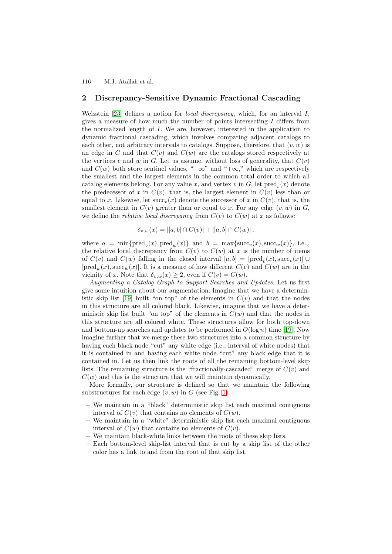## **2 Discrepancy-Sensitive Dynamic Fractional Cascading**

Weisstein [\[23\]](#page-12-2) defines a notion for *local discrepancy*, which, for an interval I, gives a measure of how much the number of points intersecting  $I$  differs from the normalized length of I. We are, however, interested in the application to dynamic fractional cascading, which involves comparing adjacent catalogs to each other, not arbitrary intervals to catalogs. Suppose, therefore, that  $(v, w)$  is an edge in G and that  $C(v)$  and  $C(w)$  are the catalogs stored respectively at the vertices v and w in G. Let us assume, without loss of generality, that  $C(v)$ and  $C(w)$  both store sentinel values, " $-\infty$ " and " $+\infty$ ," which are respectively the smallest and the largest elements in the common total order to which all catalog elements belong. For any value x, and vertex v in G, let pred,  $(x)$  denote the predecessor of x in  $C(v)$ , that is, the largest element in  $C(v)$  less than or equal to x. Likewise, let  $succ_y(x)$  denote the successor of x in  $C(v)$ , that is, the smallest element in  $C(v)$  greater than or equal to x. For any edge  $(v, w)$  in G, we define the *relative local discrepancy* from  $C(v)$  to  $C(w)$  at x as follows:

$$
\delta_{v,w}(x) = |[a, b] \cap C(v)| + |[a, b] \cap C(w)|,
$$

where  $a = \min\{\text{pred}_v(x), \text{pred}_w(x)\}\$ and  $b = \max\{\text{succ}_v(x), \text{succ}_w(x)\}\$ , i.e., the relative local discrepancy from  $C(v)$  to  $C(w)$  at x is the number of items of  $C(v)$  and  $C(w)$  falling in the closed interval  $[a, b] = [\text{pred}_v(x), \text{succ}_v(x)] \cup$  $[\text{pred}_{w}(x), \text{succ}_{w}(x)]$ . It is a measure of how different  $C(v)$  and  $C(w)$  are in the vicinity of x. Note that  $\delta_{v,w}(x) \geq 2$ , even if  $C(v) = C(w)$ .

Augmenting a Catalog Graph to Support Searches and Updates. Let us first give some intuition about our augmentation. Imagine that we have a determin-istic skip list [\[19\]](#page-11-17) built "on top" of the elements in  $C(v)$  and that the nodes in this structure are all colored black. Likewise, imagine that we have a deterministic skip list built "on top" of the elements in  $C(w)$  and that the nodes in this structure are all colored white. These structures allow for both top-down and bottom-up searches and updates to be performed in  $O(\log n)$  time [\[19\]](#page-11-17). Now imagine further that we merge these two structures into a common structure by having each black node "cut" any white edge (i.e., interval of white nodes) that it is contained in and having each white node "cut" any black edge that it is contained in. Let us then link the roots of all the remaining bottom-level skip lists. The remaining structure is the "fractionally-cascaded" merge of  $C(v)$  and  $C(w)$  and this is the structure that we will maintain dynamically.

More formally, our structure is defined so that we maintain the following substructures for each edge  $(v, w)$  in G (see Fig. [1\)](#page-3-0):

- **–** We maintain in a "black" deterministic skip list each maximal contiguous interval of  $C(v)$  that contains no elements of  $C(w)$ .
- **–** We maintain in a "white" deterministic skip list each maximal contiguous interval of  $C(w)$  that contains no elements of  $C(v)$ .
- **–** We maintain black-white links between the roots of these skip lists.
- **–** Each bottom-level skip-list interval that is cut by a skip list of the other color has a link to and from the root of that skip list.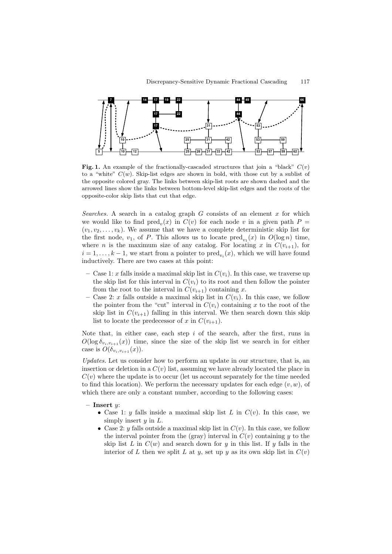

<span id="page-3-0"></span>**Fig. 1.** An example of the fractionally-cascaded structures that join a "black"  $C(v)$ to a "white"  $C(w)$ . Skip-list edges are shown in bold, with those cut by a sublist of the opposite colored gray. The links between skip-list roots are shown dashed and the arrowed lines show the links between bottom-level skip-list edges and the roots of the opposite-color skip lists that cut that edge.

Searches. A search in a catalog graph  $G$  consists of an element  $x$  for which we would like to find pred<sub>v</sub> $(x)$  in  $C(v)$  for each node v in a given path  $P =$  $(v_1, v_2, \ldots, v_k)$ . We assume that we have a complete deterministic skip list for the first node,  $v_1$ , of P. This allows us to locate  $\text{pred}_{v_1}(x)$  in  $O(\log n)$  time, where *n* is the maximum size of any catalog. For locating x in  $C(v_{i+1})$ , for  $i = 1, \ldots, k - 1$ , we start from a pointer to pred<sub>vi</sub> $(x)$ , which we will have found inductively. There are two cases at this point:

- Case 1: x falls inside a maximal skip list in  $C(v_i)$ . In this case, we traverse up the skip list for this interval in  $C(v_i)$  to its root and then follow the pointer from the root to the interval in  $C(v_{i+1})$  containing x.
- Case 2: x falls outside a maximal skip list in  $C(v_i)$ . In this case, we follow the pointer from the "cut" interval in  $C(v_i)$  containing x to the root of the skip list in  $C(v_{i+1})$  falling in this interval. We then search down this skip list to locate the predecessor of x in  $C(v_{i+1})$ .

Note that, in either case, each step  $i$  of the search, after the first, runs in  $O(\log \delta_{v_i,v_{i+1}}(x))$  time, since the size of the skip list we search in for either case is  $O(\delta_{v_i,v_{i+1}}(x)).$ 

Updates. Let us consider how to perform an update in our structure, that is, an insertion or deletion in a  $C(v)$  list, assuming we have already located the place in  $C(v)$  where the update is to occur (let us account separately for the time needed to find this location). We perform the necessary updates for each edge  $(v, w)$ , of which there are only a constant number, according to the following cases:

- **Insert** y:
	- Case 1: y falls inside a maximal skip list L in  $C(v)$ . In this case, we simply insert  $y$  in  $L$ .
	- Case 2: y falls outside a maximal skip list in  $C(v)$ . In this case, we follow the interval pointer from the (gray) interval in  $C(v)$  containing y to the skip list L in  $C(w)$  and search down for y in this list. If y falls in the interior of L then we split L at y, set up y as its own skip list in  $C(v)$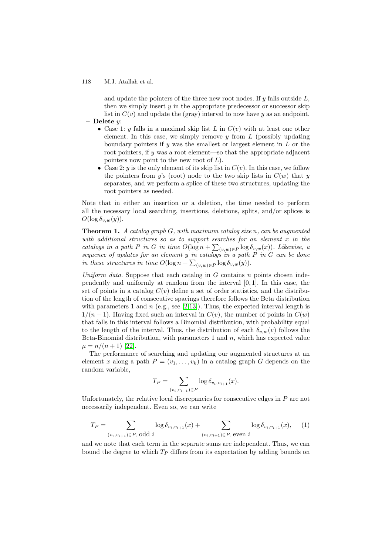and update the pointers of the three new root nodes. If  $y$  falls outside  $L$ , then we simply insert  $y$  in the appropriate predecessor or successor skip list in  $C(v)$  and update the (gray) interval to now have y as an endpoint. **– Delete** y:

- Case 1: y falls in a maximal skip list L in  $C(v)$  with at least one other element. In this case, we simply remove  $y$  from  $L$  (possibly updating boundary pointers if  $y$  was the smallest or largest element in  $L$  or the root pointers, if y was a root element—so that the appropriate adjacent pointers now point to the new root of  $L$ ).
- Case 2: y is the only element of its skip list in  $C(v)$ . In this case, we follow the pointers from y's (root) node to the two skip lists in  $C(w)$  that y separates, and we perform a splice of these two structures, updating the root pointers as needed.

Note that in either an insertion or a deletion, the time needed to perform all the necessary local searching, insertions, deletions, splits, and/or splices is  $O(\log \delta_{v,w}(y)).$ 

**Theorem 1.** A catalog graph G, with maximum catalog size n, can be augmented with additional structures so as to support searches for an element  $x$  in the catalogs in a path P in G in time  $O(\log n + \sum_{(v,w)\in P} \log \delta_{v,w}(x))$ . Likewise, a sequence of updates for an element y in catalogs in a path P in G can be done in these structures in time  $O(\log n + \sum_{(v,w)\in P} \log \delta_{v,w}(y)).$ 

Uniform data. Suppose that each catalog in  $G$  contains  $n$  points chosen independently and uniformly at random from the interval [0, 1]. In this case, the set of points in a catalog  $C(v)$  define a set of order statistics, and the distribution of the length of consecutive spacings therefore follows the Beta distribution with parameters 1 and  $n$  (e.g., see [\[2](#page-11-18)[,13\]](#page-11-19)). Thus, the expected interval length is  $1/(n+1)$ . Having fixed such an interval in  $C(v)$ , the number of points in  $C(w)$ that falls in this interval follows a Binomial distribution, with probability equal to the length of the interval. Thus, the distribution of each  $\delta_{v,w}(v)$  follows the Beta-Binomial distribution, with parameters 1 and  $n$ , which has expected value  $\mu = n/(n+1)$  [\[22\]](#page-12-3).

The performance of searching and updating our augmented structures at an element x along a path  $P = (v_1, \ldots, v_k)$  in a catalog graph G depends on the random variable,

$$
T_P = \sum_{(v_i, v_{i+1}) \in P} \log \delta_{v_i, v_{i+1}}(x).
$$

Unfortunately, the relative local discrepancies for consecutive edges in  $P$  are not necessarily independent. Even so, we can write

$$
T_P = \sum_{(v_i, v_{i+1}) \in P, \text{ odd } i} \log \delta_{v_i, v_{i+1}}(x) + \sum_{(v_i, v_{i+1}) \in P, \text{ even } i} \log \delta_{v_i, v_{i+1}}(x), \quad (1)
$$

and we note that each term in the separate sums are independent. Thus, we can bound the degree to which  $T_P$  differs from its expectation by adding bounds on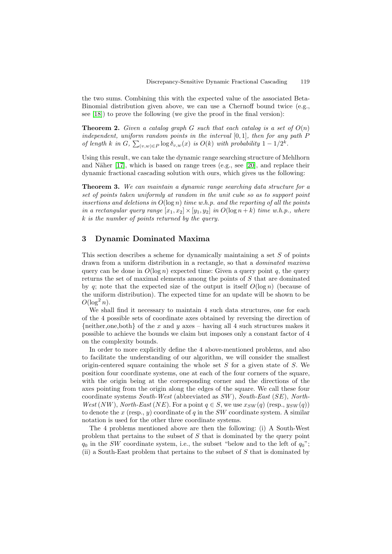the two sums. Combining this with the expected value of the associated Beta-Binomial distribution given above, we can use a Chernoff bound twice (e.g., see [\[18\]](#page-11-20)) to prove the following (we give the proof in the final version):

**Theorem 2.** Given a catalog graph G such that each catalog is a set of  $O(n)$ independent, uniform random points in the interval  $[0, 1]$ , then for any path P of length k in G,  $\sum_{(v,w)\in P} \log \delta_{v,w}(x)$  is  $O(k)$  with probability  $1-1/2^k$ .

Using this result, we can take the dynamic range searching structure of Mehlhorn and Näher  $[17]$ , which is based on range trees (e.g., see  $[20]$ , and replace their dynamic fractional cascading solution with ours, which gives us the following:

<span id="page-5-0"></span>**Theorem 3.** We can maintain a dynamic range searching data structure for a set of points taken uniformly at random in the unit cube so as to support point insertions and deletions in  $O(\log n)$  time w.h.p. and the reporting of all the points in a rectangular query range  $[x_1, x_2] \times [y_1, y_2]$  in  $O(\log n + k)$  time w.h.p., where k is the number of points returned by the query.

## **3 Dynamic Dominated Maxima**

This section describes a scheme for dynamically maintaining a set S of points drawn from a uniform distribution in a rectangle, so that a *dominated maxima* query can be done in  $O(\log n)$  expected time: Given a query point q, the query returns the set of maximal elements among the points of S that are dominated by q; note that the expected size of the output is itself  $O(\log n)$  (because of the uniform distribution). The expected time for an update will be shown to be  $O(\log^2 n)$ .

We shall find it necessary to maintain 4 such data structures, one for each of the 4 possible sets of coordinate axes obtained by reversing the direction of {neither, one, both} of the x and y axes – having all 4 such structures makes it possible to achieve the bounds we claim but imposes only a constant factor of 4 on the complexity bounds.

In order to more explicitly define the 4 above-mentioned problems, and also to facilitate the understanding of our algorithm, we will consider the smallest origin-centered square containing the whole set  $S$  for a given state of  $S$ . We position four coordinate systems, one at each of the four corners of the square, with the origin being at the corresponding corner and the directions of the axes pointing from the origin along the edges of the square. We call these four coordinate systems South-West (abbreviated as SW), South-East (SE), North-West (NW), North-East (NE). For a point  $q \in S$ , we use  $x_{SW}(q)$  (resp.,  $y_{SW}(q)$ ) to denote the x (resp., y) coordinate of q in the SW coordinate system. A similar notation is used for the other three coordinate systems.

The 4 problems mentioned above are then the following: (i) A South-West problem that pertains to the subset of S that is dominated by the query point  $q_0$  in the SW coordinate system, i.e., the subset "below and to the left of  $q_0$ "; (ii) a South-East problem that pertains to the subset of  $S$  that is dominated by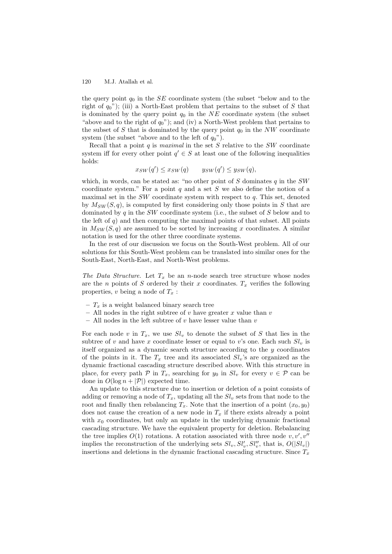the query point  $q_0$  in the SE coordinate system (the subset "below and to the right of  $q_0$ "); (iii) a North-East problem that pertains to the subset of S that is dominated by the query point  $q_0$  in the NE coordinate system (the subset "above and to the right of  $q_0$ "); and (iv) a North-West problem that pertains to the subset of S that is dominated by the query point  $q_0$  in the NW coordinate system (the subset "above and to the left of  $q_0$ ").

Recall that a point  $q$  is *maximal* in the set  $S$  relative to the  $SW$  coordinate system iff for every other point  $q' \in S$  at least one of the following inequalities holds:

 $x_{SW}(q') \leq x_{SW}(q)$   $y_{SW}(q') \leq y_{SW}(q)$ ,

which, in words, can be stated as: "no other point of  $S$  dominates  $q$  in the  $SW$ coordinate system." For a point  $q$  and a set  $S$  we also define the notion of a maximal set in the  $SW$  coordinate system with respect to  $q$ . This set, denoted by  $M_{SW}(S, q)$ , is computed by first considering only those points in S that are dominated by  $q$  in the  $SW$  coordinate system (i.e., the subset of  $S$  below and to the left of  $q$ ) and then computing the maximal points of that subset. All points in  $M_{SW}(S, q)$  are assumed to be sorted by increasing x coordinates. A similar notation is used for the other three coordinate systems.

In the rest of our discussion we focus on the South-West problem. All of our solutions for this South-West problem can be translated into similar ones for the South-East, North-East, and North-West problems.

The Data Structure. Let  $T_x$  be an n-node search tree structure whose nodes are the n points of S ordered by their x coordinates.  $T_x$  verifies the following properties, v being a node of  $T_x$ :

- $T_x$  is a weight balanced binary search tree
- $-$  All nodes in the right subtree of v have greater x value than v
- $-$  All nodes in the left subtree of v have lesser value than  $v$

For each node v in  $T_x$ , we use  $Sl_v$  to denote the subset of S that lies in the subtree of v and have x coordinate lesser or equal to v's one. Each such  $Sl_v$  is itself organized as a dynamic search structure according to the y coordinates of the points in it. The  $T_x$  tree and its associated  $Sl_y$ 's are organized as the dynamic fractional cascading structure described above. With this structure in place, for every path  $P$  in  $T_x$ , searching for  $y_0$  in  $Sl_y$  for every  $v \in P$  can be done in  $O(\log n + |\mathcal{P}|)$  expected time.

An update to this structure due to insertion or deletion of a point consists of adding or removing a node of  $T_x$ , updating all the  $Sl_v$  sets from that node to the root and finally then rebalancing  $T_x$ . Note that the insertion of a point  $(x_0, y_0)$ does not cause the creation of a new node in  $T_x$  if there exists already a point with  $x_0$  coordinates, but only an update in the underlying dynamic fractional cascading structure. We have the equivalent property for deletion. Rebalancing the tree implies  $O(1)$  rotations. A rotation associated with three node  $v, v', v''$ implies the reconstruction of the underlying sets  $Sl_v, Sl'_v, Sl''_v$ , that is,  $O(|Sl_v|)$ insertions and deletions in the dynamic fractional cascading structure. Since  $T_x$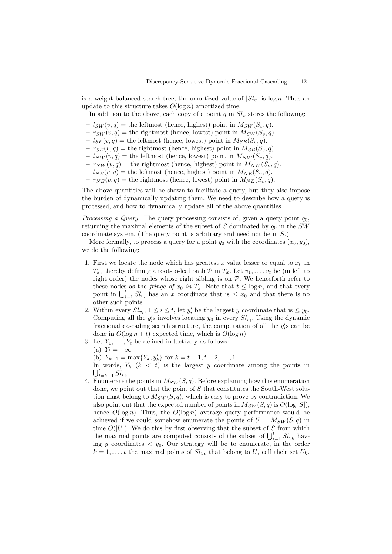is a weight balanced search tree, the amortized value of  $|S_l|$  is log n. Thus an update to this structure takes  $O(\log n)$  amortized time.

In addition to the above, each copy of a point  $q$  in  $Sl_v$  stores the following:

- $l_{SW}(v, q) =$  the leftmost (hence, highest) point in  $M_{SW}(S_v, q)$ .
- $r_{SW}(v,q)$  = the rightmost (hence, lowest) point in  $M_{SW}(S_v,q)$ .
- $l_{SE}(v,q) =$  the leftmost (hence, lowest) point in  $M_{SE}(S_v, q)$ .
- $r_{SE}(v,q)$  = the rightmost (hence, highest) point in  $M_{SE}(S_v,q)$ .
- $l_{NW}(v,q) =$  the leftmost (hence, lowest) point in  $M_{NW}(S_v, q)$ .
- $r = r_{NW}(v,q)$  = the rightmost (hence, highest) point in  $M_{NW}(S_v, q)$ .
- $l_{NE}(v,q) =$  the leftmost (hence, highest) point in  $M_{NE}(S_v, q)$ .
- $r_{NE}(v,q)$  = the rightmost (hence, lowest) point in  $M_{NE}(S_v, q)$ .

The above quantities will be shown to facilitate a query, but they also impose the burden of dynamically updating them. We need to describe how a query is processed, and how to dynamically update all of the above quantities.

*Processing a Query.* The query processing consists of, given a query point  $q_0$ , returning the maximal elements of the subset of S dominated by  $q_0$  in the SW coordinate system. (The query point is arbitrary and need not be in S.)

More formally, to process a query for a point  $q_0$  with the coordinates  $(x_0, y_0)$ , we do the following:

- 1. First we locate the node which has greatest x value lesser or equal to  $x_0$  in  $T_x$ , thereby defining a root-to-leaf path  $\mathcal P$  in  $T_x$ . Let  $v_1,\ldots,v_t$  be (in left to right order) the nodes whose right sibling is on  $P$ . We henceforth refer to these nodes as the *fringe of*  $x_0$  in  $T_x$ . Note that  $t \leq \log n$ , and that every point in  $\bigcup_{i=1}^t Sl_{v_i}$  has an x coordinate that is  $\leq x_0$  and that there is no other such points.
- 2. Within every  $Sl_{v_i}$ ,  $1 \leq i \leq t$ , let  $y'_i$  be the largest y coordinate that is  $\leq y_0$ . Computing all the  $y_i$ 's involves locating  $y_0$  in every  $Sl_{v_i}$ . Using the dynamic fractional cascading search structure, the computation of all the  $y_i$ 's can be done in  $O(\log n + t)$  expected time, which is  $O(\log n)$ .
- 3. Let  $Y_1, \ldots, Y_t$  be defined inductively as follows:
	- (a)  $Y_t = -\infty$
	- (b)  $Y_{k-1} = \max\{Y_k, y_k'\}$  for  $k = t 1, t 2, \ldots, 1$ .
	- In words,  $Y_k$  ( $k < t$ ) is the largest y coordinate among the points in  $\bigcup_{i=k+1}^t Sl_{v_k}.$
- 4. Enumerate the points in  $M_{SW}(S, q)$ . Before explaining how this enumeration done, we point out that the point of S that constitutes the South-West solution must belong to  $M_{SW}(S, q)$ , which is easy to prove by contradiction. We also point out that the expected number of points in  $M_{SW}(S, q)$  is  $O(\log |S|)$ , hence  $O(\log n)$ . Thus, the  $O(\log n)$  average query performance would be achieved if we could somehow enumerate the points of  $U = M_{SW}(S, q)$  in time  $O(|U|)$ . We do this by first observing that the subset of S from which the maximal points are computed consists of the subset of  $\bigcup_{i=1}^{t} Sl_{v_k}$  having y coordinates  $\langle y_0. \rangle$  Our strategy will be to enumerate, in the order  $k = 1, \ldots, t$  the maximal points of  $Sl_{v_k}$  that belong to U, call their set  $U_k$ ,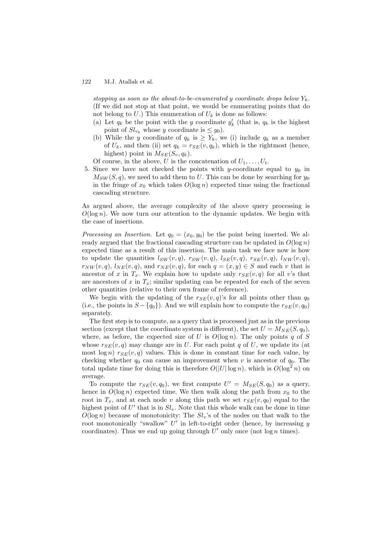stopping as soon as the about-to-be-enumerated y coordinate drops below  $Y_k$ . (If we did not stop at that point, we would be enumerating points that do not belong to  $U$ .) This enumeration of  $U_k$  is done as follows:

- (a) Let  $q_k$  be the point with the y coordinate  $y'_k$  (that is,  $q_k$  is the highest point of  $Sl_{v_k}$  whose y coordinate is  $\leq y_0$ .
- (b) While the y coordinate of  $q_k$  is  $\geq Y_k$ , we (i) include  $q_k$  as a member of  $U_k$ , and then (ii) set  $q_k = r_{SE}(v,q_k)$ , which is the rightmost (hence, highest) point in  $M_{SE}(S_v, q_k)$ .

Of course, in the above, U is the concatenation of  $U_1, \ldots, U_t$ .

5. Since we have not checked the points with y-coordinate equal to  $y_0$  in  $M_{SW}(S, q)$ , we need to add them to U. This can be done by searching for  $y_0$ in the fringe of  $x_0$  which takes  $O(\log n)$  expected time using the fractional cascading structure.

As argued above, the average complexity of the above query processing is  $O(\log n)$ . We now turn our attention to the dynamic updates. We begin with the case of insertions.

Processing an Insertion. Let  $q_0 = (x_0, y_0)$  be the point being inserted. We already argued that the fractional cascading structure can be updated in  $O(\log n)$ expected time as a result of this insertion. The main task we face now is how to update the quantities  $l_{SW}(v,q)$ ,  $r_{SW}(v,q)$ ,  $l_{SE}(v,q)$ ,  $r_{SE}(v,q)$ ,  $l_{NW}(v,q)$ ,  $r_{NW}(v,q), l_{NE}(v,q),$  and  $r_{NE}(v,q)$ , for each  $q = (x, y) \in S$  and each v that is ancestor of x in  $T_x$ . We explain how to update only  $r_{SE}(v,q)$  for all v's that are ancestors of x in  $T_x$ ; similar updating can be repeated for each of the seven other quantities (relative to their own frame of reference).

We begin with the updating of the  $r_{SE}(v,q)$ 's for all points other than  $q_0$ (i.e., the points in  $S - {q_0}$ ). And we will explain how to compute the  $r_{SE}(v,q_0)$ separately.

The first step is to compute, as a query that is processed just as in the previous section (except that the coordinate system is different), the set  $U = M_{NE}(S, q_0)$ , where, as before, the expected size of U is  $O(\log n)$ . The only points q of S whose  $r_{SE}(v,q)$  may change are in U. For each point q of U, we update its (at most  $\log n$ )  $r_{SE}(v,q)$  values. This is done in constant time for each value, by checking whether  $q_0$  can cause an improvement when v is ancestor of  $q_0$ . The total update time for doing this is therefore  $O(|U|\log n)$ , which is  $O(\log^2 n)$  on average.

To compute the  $r_{SE}(v, q_0)$ , we first compute  $U' = M_{SE}(S, q_0)$  as a query, hence in  $O(\log n)$  expected time. We then walk along the path from  $x_0$  to the root in  $T_x$ , and at each node v along this path we set  $r_{SE}(v,q_0)$  equal to the highest point of U' that is in  $Sl<sub>v</sub>$ . Note that this whole walk can be done in time  $O(\log n)$  because of monotonicity: The  $Sl_n$ 's of the nodes on that walk to the root monotonically "swallow"  $U'$  in left-to-right order (hence, by increasing y coordinates). Thus we end up going through  $U'$  only once (not log n times).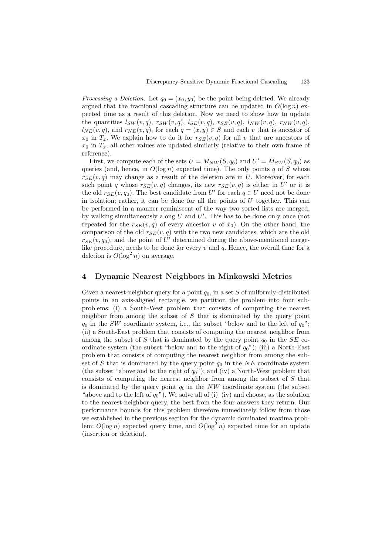*Processing a Deletion.* Let  $q_0 = (x_0, y_0)$  be the point being deleted. We already argued that the fractional cascading structure can be updated in  $O(\log n)$  expected time as a result of this deletion. Now we need to show how to update the quantities  $l_{SW}(v,q)$ ,  $r_{SW}(v,q)$ ,  $l_{SE}(v,q)$ ,  $r_{SE}(v,q)$ ,  $l_{NW}(v,q)$ ,  $r_{NW}(v,q)$ ,  $l_{NE}(v,q)$ , and  $r_{NE}(v,q)$ , for each  $q = (x, y) \in S$  and each v that is ancestor of  $x_0$  in  $T_x$ . We explain how to do it for  $r_{SE}(v,q)$  for all v that are ancestors of  $x_0$  in  $T_x$ , all other values are updated similarly (relative to their own frame of reference).

First, we compute each of the sets  $U = M_{NW}(S, q_0)$  and  $U' = M_{SW}(S, q_0)$  as queries (and, hence, in  $O(\log n)$  expected time). The only points q of S whose  $r_{SE}(v, q)$  may change as a result of the deletion are in U. Moreover, for each such point q whose  $r_{SE}(v,q)$  changes, its new  $r_{SE}(v,q)$  is either in U' or it is the old  $r_{SE}(v,q_0)$ . The best candidate from U' for each  $q \in U$  need not be done in isolation; rather, it can be done for all the points of  $U$  together. This can be performed in a manner reminiscent of the way two sorted lists are merged, by walking simultaneously along  $U$  and  $U'$ . This has to be done only once (not repeated for the  $r_{SE}(v,q)$  of every ancestor v of  $x_0$ ). On the other hand, the comparison of the old  $r_{SE}(v,q)$  with the two new candidates, which are the old  $r_{SE}(v, q_0)$ , and the point of U' determined during the above-mentioned mergelike procedure, needs to be done for every  $v$  and  $q$ . Hence, the overall time for a deletion is  $O(\log^2 n)$  on average.

## **4 Dynamic Nearest Neighbors in Minkowski Metrics**

Given a nearest-neighbor query for a point  $q_0$ , in a set S of uniformly-distributed points in an axis-aligned rectangle, we partition the problem into four subproblems: (i) a South-West problem that consists of computing the nearest neighbor from among the subset of  $S$  that is dominated by the query point  $q_0$  in the SW coordinate system, i.e., the subset "below and to the left of  $q_0$ "; (ii) a South-East problem that consists of computing the nearest neighbor from among the subset of S that is dominated by the query point  $q_0$  in the SE coordinate system (the subset "below and to the right of  $q_0$ "); (iii) a North-East problem that consists of computing the nearest neighbor from among the subset of S that is dominated by the query point  $q_0$  in the NE coordinate system (the subset "above and to the right of  $q_0$ "); and (iv) a North-West problem that consists of computing the nearest neighbor from among the subset of S that is dominated by the query point  $q_0$  in the NW coordinate system (the subset "above and to the left of  $q_0$ "). We solve all of (i)–(iv) and choose, as the solution to the nearest-neighbor query, the best from the four answers they return. Our performance bounds for this problem therefore immediately follow from those we established in the previous section for the dynamic dominated maxima problem:  $O(\log n)$  expected query time, and  $O(\log^2 n)$  expected time for an update (insertion or deletion).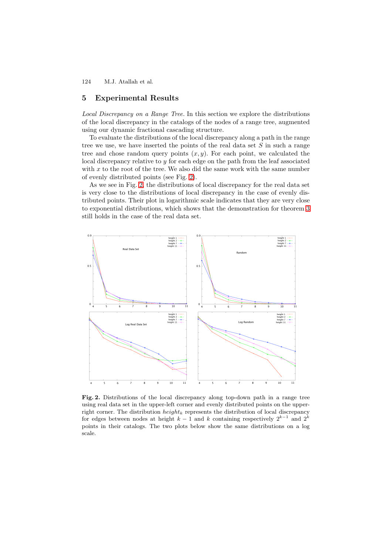## **5 Experimental Results**

Local Discrepancy on a Range Tree. In this section we explore the distributions of the local discrepancy in the catalogs of the nodes of a range tree, augmented using our dynamic fractional cascading structure.

To evaluate the distributions of the local discrepancy along a path in the range tree we use, we have inserted the points of the real data set  $S$  in such a range tree and chose random query points  $(x, y)$ . For each point, we calculated the local discrepancy relative to y for each edge on the path from the leaf associated with  $x$  to the root of the tree. We also did the same work with the same number of evenly distributed points (see Fig. [2\)](#page-10-0).

As we see in Fig. [2,](#page-10-0) the distributions of local discrepancy for the real data set is very close to the distributions of local discrepancy in the case of evenly distributed points. Their plot in logarithmic scale indicates that they are very close to exponential distributions, which shows that the demonstration for theorem [3](#page-5-0) still holds in the case of the real data set.



<span id="page-10-0"></span>**Fig. 2.** Distributions of the local discrepancy along top-down path in a range tree using real data set in the upper-left corner and evenly distributed points on the upperright corner. The distribution  $height_k$  represents the distribution of local discrepancy for edges between nodes at height  $k-1$  and k containing respectively  $2^{k-1}$  and  $2^k$ points in their catalogs. The two plots below show the same distributions on a log scale.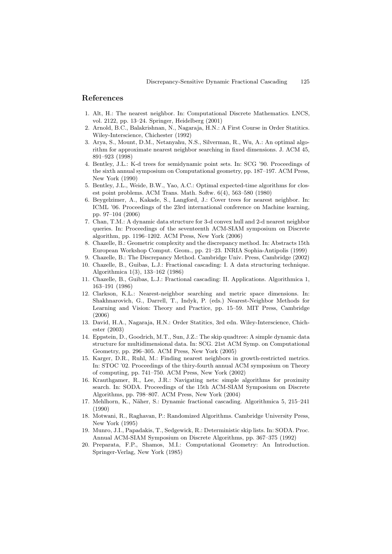## <span id="page-11-6"></span><span id="page-11-5"></span>**References**

- 1. Alt, H.: The nearest neighbor. In: Computational Discrete Mathematics. LNCS, vol. 2122, pp. 13–24. Springer, Heidelberg (2001)
- <span id="page-11-18"></span><span id="page-11-11"></span>2. Arnold, B.C., Balakrishnan, N., Nagaraja, H.N.: A First Course in Order Statitics. Wiley-Interscience, Chichester (1992)
- 3. Arya, S., Mount, D.M., Netanyahu, N.S., Silverman, R., Wu, A.: An optimal algorithm for approximate nearest neighbor searching in fixed dimensions. J. ACM 45, 891–923 (1998)
- <span id="page-11-10"></span>4. Bentley, J.L.: K-d trees for semidynamic point sets. In: SCG '90. Proceedings of the sixth annual symposium on Computational geometry, pp. 187–197. ACM Press, New York (1990)
- <span id="page-11-9"></span>5. Bentley, J.L., Weide, B.W., Yao, A.C.: Optimal expected-time algorithms for closest point problems. ACM Trans. Math. Softw. 6(4), 563–580 (1980)
- <span id="page-11-14"></span>6. Beygelzimer, A., Kakade, S., Langford, J.: Cover trees for nearest neighbor. In: ICML '06. Proceedings of the 23rd international conference on Machine learning, pp. 97–104 (2006)
- <span id="page-11-13"></span>7. Chan, T.M.: A dynamic data structure for 3-d convex hull and 2-d nearest neighbor queries. In: Proceedings of the seventeenth ACM-SIAM symposium on Discrete algorithm, pp. 1196–1202. ACM Press, New York (2006)
- <span id="page-11-0"></span>8. Chazelle, B.: Geometric complexity and the discrepancy method. In: Abstracts 15th European Workshop Comput. Geom., pp. 21–23. INRIA Sophia-Antipolis (1999)
- 9. Chazelle, B.: The Discrepancy Method. Cambridge Univ. Press, Cambridge (2002)
- <span id="page-11-2"></span><span id="page-11-1"></span>10. Chazelle, B., Guibas, L.J.: Fractional cascading: I. A data structuring technique. Algorithmica 1(3), 133–162 (1986)
- <span id="page-11-3"></span>11. Chazelle, B., Guibas, L.J.: Fractional cascading: II. Applications. Algorithmica 1, 163–191 (1986)
- <span id="page-11-7"></span>12. Clarkson, K.L.: Nearest-neighbor searching and metric space dimensions. In: Shakhnarovich, G., Darrell, T., Indyk, P. (eds.) Nearest-Neighbor Methods for Learning and Vision: Theory and Practice, pp. 15–59. MIT Press, Cambridge (2006)
- <span id="page-11-19"></span>13. David, H.A., Nagaraja, H.N.: Order Statitics, 3rd edn. Wiley-Interscience, Chichester (2003)
- <span id="page-11-12"></span>14. Eppstein, D., Goodrich, M.T., Sun, J.Z.: The skip quadtree: A simple dynamic data structure for multidimensional data. In: SCG. 21st ACM Symp. on Computational Geometry, pp. 296–305. ACM Press, New York (2005)
- <span id="page-11-16"></span>15. Karger, D.R., Ruhl, M.: Finding nearest neighbors in growth-restricted metrics. In: STOC '02. Proceedings of the thiry-fourth annual ACM symposium on Theory of computing, pp. 741–750. ACM Press, New York (2002)
- <span id="page-11-15"></span>16. Krauthgamer, R., Lee, J.R.: Navigating nets: simple algorithms for proximity search. In: SODA. Proceedings of the 15th ACM-SIAM Symposium on Discrete Algorithms, pp. 798–807. ACM Press, New York (2004)
- <span id="page-11-4"></span>17. Mehlhorn, K., N¨aher, S.: Dynamic fractional cascading. Algorithmica 5, 215–241 (1990)
- <span id="page-11-20"></span>18. Motwani, R., Raghavan, P.: Randomized Algorithms. Cambridge University Press, New York (1995)
- <span id="page-11-17"></span>19. Munro, J.I., Papadakis, T., Sedgewick, R.: Deterministic skip lists. In: SODA. Proc. Annual ACM-SIAM Symposium on Discrete Algorithms, pp. 367–375 (1992)
- <span id="page-11-8"></span>20. Preparata, F.P., Shamos, M.I.: Computational Geometry: An Introduction. Springer-Verlag, New York (1985)